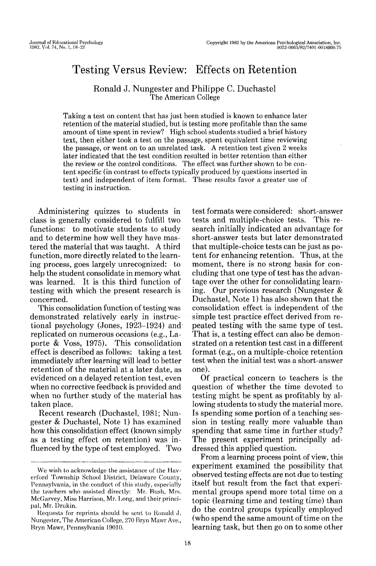# Testing Versus Review: Effects on Retention

Ronald J. Nungester and Philippe C. Duchastel The American College

Taking a test on content that has just been studied is known to enhance later retention of the material studied, but is testing more profitable than the same amount of time spent in review? High school students studied a brief history text, then either took a test on the passage, spent equivalent time reviewing the passage, or went on to an unrelated task. A retention test given 2 weeks later indicated that the test condition resulted in better retention than either the review or the control conditions. The effect was further shown to be content specific (in contrast to effects typically produced by questions inserted in text) and independent of item format. These results favor a greater use of testing in instruction.

Administering quizzes to students in class is generally considered to fulfill two functions: to motivate students to study and to determine how well they have mastered the material that was taught. A third function, more directly related to the learning process, goes largely unrecognized: to help the student consolidate in memory what was learned. It is this third function of testing with which the present research is concerned.

This consolidation function of testing was demonstrated relatively early in instructional psychology (Jones, 1923-1924) and replicated on numerous occasions (e.g., Laporte & Voss, 1975). This consolidation effect is described as follows: taking a test immediately after learning will lead to better retention of the material at a later date, as evidenced on a delayed retention test, even when no corrective feedback is provided and when no further study of the material has taken place.

Recent research (Duchastel, 1981; Nungester & Duchastel, Note 1) has examined how this consolidation effect (known simply as a testing effect on retention) was influenced by the type of test employed. Two test formats were considered: short-answer tests and multiple-choice tests. search initially indicated an advantage for short-answer tests but later demonstrated that multiple-choice tests can be just as potent for enhancing retention. Thus, at the moment, there is no strong basis for concluding that one type of test has the advantage over the other for consolidating learning. Our previous research (Nungester & Duchastel, Note 1) has also shown that the consolidation effect is independent of the simple test practice effect derived from repeated testing with the same type of test. That is, a testing effect can also be demonstrated on a retention test cast in a different format (e.g., on a multiple-choice retention test when the initial test was a short-answer one).

Of practical concern to teachers is the question of whether the time devoted to testing might be spent as profitably by allowing students to study the material more. Is spending some portion of a teaching session in testing really more valuable than spending that same time in further study? The present experiment principally addressed this applied question.

From a learning process point of view, this experiment examined the possibility that observed testing effects are not due to testing itself but result from the fact that experimental groups spend more total time on a topic (learning time and testing time) than do the control groups typically employed (who spend the same amount of time on the learning task, but then go on to some other

We wish to acknowledge the assistance of the Haverford Township School District, Delaware County, Pennsylvania, in the conduct of this study, especially the teachers who assisted directly: Mr. Bush, Mrs. McGarvey, Miss Harrison, Mr. Long, and their principal, Mr. Drukin.

Requests for reprints should he sent to Ronald J. Nungester, The American College, 270 Rryn Mawr Ave., Bryn Mawr, Pennsylvania 19010.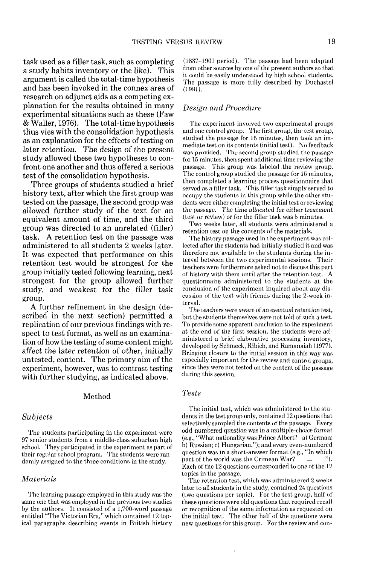task used as a filler task, such as completing a study habits inventory or the like). This argument is called the total-time hypothesis and has been invoked in the connex area of research on adjunct aids as a competing explanation for the results obtained in many experimental situations such as these (Faw & Waller, 1976). The total-time hypothesis thus vies with the consolidation hypothesis as an explanation for the effects of testing on later retention. The design of the present study allowed these two hypotheses to confront one another and thus offered a serious test of the consolidation hypothesis.

Three groups of students studied a brief history text, after which the first group was tested on the passage, the second group was allowed further study of the text for an equivalent amount of time, and the third group was directed to an unrelated (filler) task. A retention test on the passage was administered to all students 2 weeks later. It was expected that performance on this retention test would be strongest for the group initially tested following learning, next strongest for the group allowed further study, and weakest for the filler task group.

A further refinement in the design (described in the next section) permitted a replication of our previous findings with respect to test format, as well as an examination of how the testing of some content might affect the later retention of other, initially untested, content. The primary aim of the experiment, however, was to contrast testing with further studying, as indicated above.

#### Method

## *Subjects*

The students participating in the experiment were 97 senior students from a middle-class suburban high school. They participated in the experiment as part of their regular school program. The students were randomly assigned to the three conditions in the study.

#### *Materials*

The learning passage employed in this study was the same one that was employed in the previous two studies by the authors. It consisted of a 1,700-word passage entitled "The Victorian Era," which contained 12 topical paragraphs describing events in British history

(1837-1901 period). The passage had been adapted from other sources by one of the present authors so that it could be easily understood by high school students. The passage is more fully described by Duchastel (1981).

# *Design and Procedure*

The experiment involved two experimental groups and one control group. The first group, the test group, studied the passage for 15 minutes, then took an immediate test on its contents (initial test). No feedback was provided. The second group studied the passage for 15 minutes, then spent additional time reviewing the passage. This group was labeled the review group. The control group studied the passage for 15 minutes, then completed a learning process questionnaire that served as a filler task. This filler task simply served to occupy the students in this group while the other students were either completing the initial test or reviewing the passage. The time allocated for either treatment (test or review) or for the filler task was 5 minutes.

Two weeks later, all students were administered a retention test on the contents of the materials.

The history passage used in the experiment was collected after the students had initially studied it and was therefore not available to the students during the interval between the two experimental sessions. Their teachers were furthermore asked not to discuss this part of history with them until after the retention test. A questionnaire administered to the students at the conclusion of the experiment inquired about any discussion of the text with friends during the 2-week interval.

The teachers were aware of an eventual retention test, but the students themselves were not told of such a test. To provide some apparent conclusion to the experiment at the end of the first session, the students were administered a brief elaborative processing inventory, developed by Schmeck, Hibich, and Ramanaiah (1977). Bringing closure to the initial session in this way was especially important for the review and control groups, since they were not tested on the content of the passage during this session.

# *Tests*

The initial test, which was administered to the students in the test group only, contained 12 questions that selectively sampled the contents of the passage. Every odd-numbered question was in a multiple-choice format (e.g., "What nationality was Prince Albert? a) German; b) Russian; c) Hungarian."); and every even-numbered question was in a short-answer format (e.g., "In which part of the world was the Crimean War? part of the world was the Crimean War?  $\_\_$ Each of the 12 questions corresponded to one of the 12 topics in the passage.

The retention test, which was administered 2 weeks later to all students in the study, contained 24 questions (two questions per topic). For the test group, half of these questions were old questions that required recall or recognition of the same information as requested on the initial test. The other half of the questions were new questions for this group. For the review and con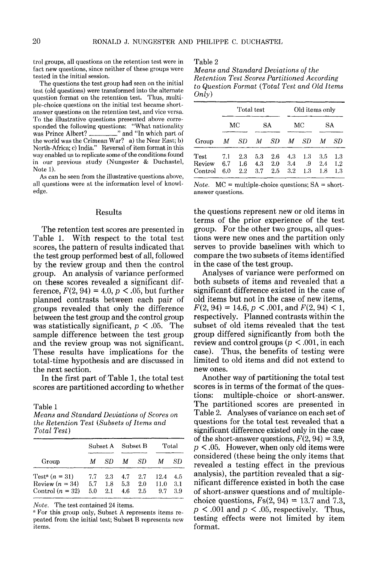trol groups, all questions on the retention test were in fact new questions, since neither of these groups were tested in the initial session.

The questions the test group had seen on the initial test (old questions) were transformed into the alternate question format on the retention test. Thus, multiple-choice questions on the initial test became shortanswer questions on the retention test, and vice versa. To the illustrative questions presented above corresponded the following questions: "What nationality which part of the world was the Crimean War? a) the Near East; b) North-Africa; c) India." Reversal of item format in this way enabled us to replicate some of the conditions found in our previous study (Nungester & Duchastel, Note 1).

As can be seen from the illustrative questions above, all questions were at the information level of knowledge.

#### Results

The retention test scores are presented in Table 1. With respect to the total test scores, the pattern of results indicated that the test group performed best of all, followed by the review group and then the control group. An analysis of variance performed on these scores revealed a significant difference,  $F(2, 94) = 4.0, p < .05$ , but further planned contrasts between each pair of groups revealed that only the difference between the test group and the control group was statistically significant, *p <* .05. The sample difference between the test group and the review group was not significant. These results have implications for the total-time hypothesis and are discussed in the next section.

In the first part of Table 1, the total test scores are partitioned according to whether

Table 1

*Means and Standard Deviations of Scores on the Retention Test (Subsets of Items and Total Test)*

|                    |      | Subset A | Subset B |     | Total |     |
|--------------------|------|----------|----------|-----|-------|-----|
| Group              | м    | SD.      | M        | -SD | м     | SĐ  |
| $Testa$ $(n = 31)$ | 7.7  | 2.3      | 4.7      | 2.7 | 12.4  | 4.5 |
| Review $(n = 34)$  | -5.7 | 1.8      | 5.3      | 2.0 | 11.0  | 3.1 |
| Control $(n = 32)$ | 5.0  | 2.1      | 4.6      | 2.5 | 9.7   | 3.9 |

*Note.* The test contained 24 items.

<sup>a</sup> For this group only, Subset A represents items repeated from the initial test; Subset B represents new items.

Table 2

*Means and Standard Deviations of the Retention Test Scores Partitioned According to Question Format (Total Test and Old Items Only)*

| Group                                               | Total test        |                   |                   |                   | Old items only        |                  |                   |                       |  |
|-----------------------------------------------------|-------------------|-------------------|-------------------|-------------------|-----------------------|------------------|-------------------|-----------------------|--|
|                                                     | MC                |                   | SA                |                   | МC                    |                  | SA                |                       |  |
|                                                     |                   | M SD M SD         |                   |                   |                       | M SD             | M                 | SD                    |  |
| $\operatorname{\mathbf{Test}}$<br>Review<br>Control | 7.1<br>6.7<br>6.0 | 2.3<br>1.6<br>2.2 | 5.3<br>4.3<br>3.7 | 2.6<br>2.0<br>2.5 | 4.3<br>3.4<br>$3.2\,$ | 1.3<br>.9<br>1.3 | 3.5<br>2.4<br>1.8 | $1.3\,$<br>1.2<br>1.3 |  |

*Note.*  $MC = \text{multiple-choice questions; SA = short$ answer questions.

the questions represent new or old items in terms of the prior experience of the test group. For the other two groups, all questions were new ones and the partition only serves to provide baselines with which to compare the two subsets of items identified in the case of the test group.

Analyses of variance were performed on both subsets of items and revealed that a significant difference existed in the case of old items but not in the case of new items,  $F(2, 94) = 14.6, p < .001,$  and  $F(2, 94) < 1$ , respectively. Planned contrasts within the subset of old items revealed that the test group differed significantly from both the review and control groups *(p <* .001, in each case). Thus, the benefits of testing were limited to old items and did not extend to new ones.

Another way of partitioning the total test scores is in terms of the format of the questions: multiple-choice or short-answer. The partitioned scores are presented in Table 2. Analyses of variance on each set of questions for the total test revealed that a significant difference existed only in the case of the short-answer questions,  $F(2, 94) = 3.9$ , *p <* .05. However, when only old items were considered (these being the only items that revealed a testing effect in the previous analysis), the partition revealed that a significant difference existed in both the case of short-answer questions and of multiplechoice questions,  $F_S(2, 94) = 13.7$  and 7.3,  $p < .001$  and  $p < .05$ , respectively. Thus, testing effects were not limited by item format.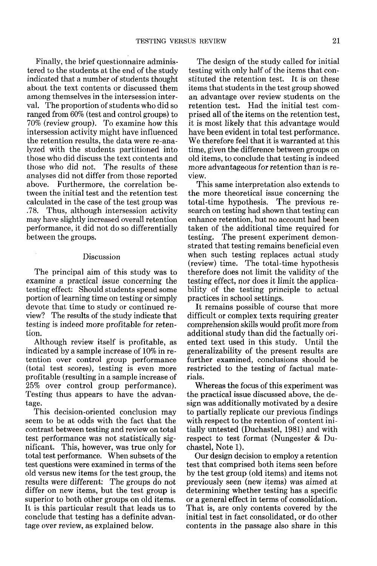Finally, the brief questionnaire administered to the students at the end of the study indicated that a number of students thought about the text contents or discussed them among themselves in the intersession interval. The proportion of students who did so ranged from 60% (test and control groups) to 70% (review group). To examine how this intersession activity might have influenced the retention results, the data were re-analyzed with the students partitioned into those who did discuss the text contents and those who did not. The results of these analyses did not differ from those reported above. Furthermore, the correlation between the initial test and the retention test calculated in the case of the test group was .78. Thus, although intersession activity may have slightly increased overall retention performance, it did not do so differentially between the groups.

## Discussion

The principal aim of this study was to examine a practical issue concerning the testing effect: Should students spend some portion of learning time on testing or simply devote that time to study or continued review? The results of the study indicate that testing is indeed more profitable for retention.

Although review itself is profitable, as indicated by a sample increase of 10% in retention over control group performance (total test scores), testing is even more profitable (resulting in a sample increase of 25% over control group performance). Testing thus appears to have the advantage.

This decision-oriented conclusion may seem to be at odds with the fact that the contrast between testing and review on total test performance was not statistically significant. This, however, was true only for total test performance. When subsets of the test questions were examined in terms of the old versus new items for the test group, the results were different: The groups do not differ on new items, but the test group is superior to both other groups on old items. It is this particular result that leads us to conclude that testing has a definite advantage over review, as explained below.

The design of the study called for initial testing with only half of the items that constituted the retention test. It is on these items that students in the test group showed an advantage over review students on the retention test. Had the initial test comprised all of the items on the retention test, it is most likely that this advantage would have been evident in total test performance. We therefore feel that it is warranted at this time, given the difference between groups on old items, to conclude that testing is indeed more advantageous for retention than is review.

This same interpretation also extends to the more theoretical issue concerning the total-time hypothesis. The previous research on testing had shown that testing can enhance retention, but no account had been taken of the additional time required for testing. The present experiment demonstrated that testing remains beneficial even when such testing replaces actual study (review) time. The total-time hypothesis therefore does not limit the validity of the testing effect, nor does it limit the applicability of the testing principle to actual practices in school settings.

It remains possible of course that more difficult or complex texts requiring greater comprehension skills would profit more from additional study than did the factually oriented text used in this study. Until the generalizability of the present results are further examined, conclusions should be restricted to the testing of factual materials.

Whereas the focus of this experiment was the practical issue discussed above, the design was additionally motivated by a desire to partially replicate our previous findings with respect to the retention of content initially untested (Duchastel, 1981) and with respect to test format (Nungester & Duchastel, Note 1).

Our design decision to employ a retention test that comprised both items seen before by the test group (old items) and items not previously seen (new items) was aimed at determining whether testing has a specific or a general effect in terms of consolidation. That is, are only contents covered by the initial test in fact consolidated, or do other contents in the passage also share in this